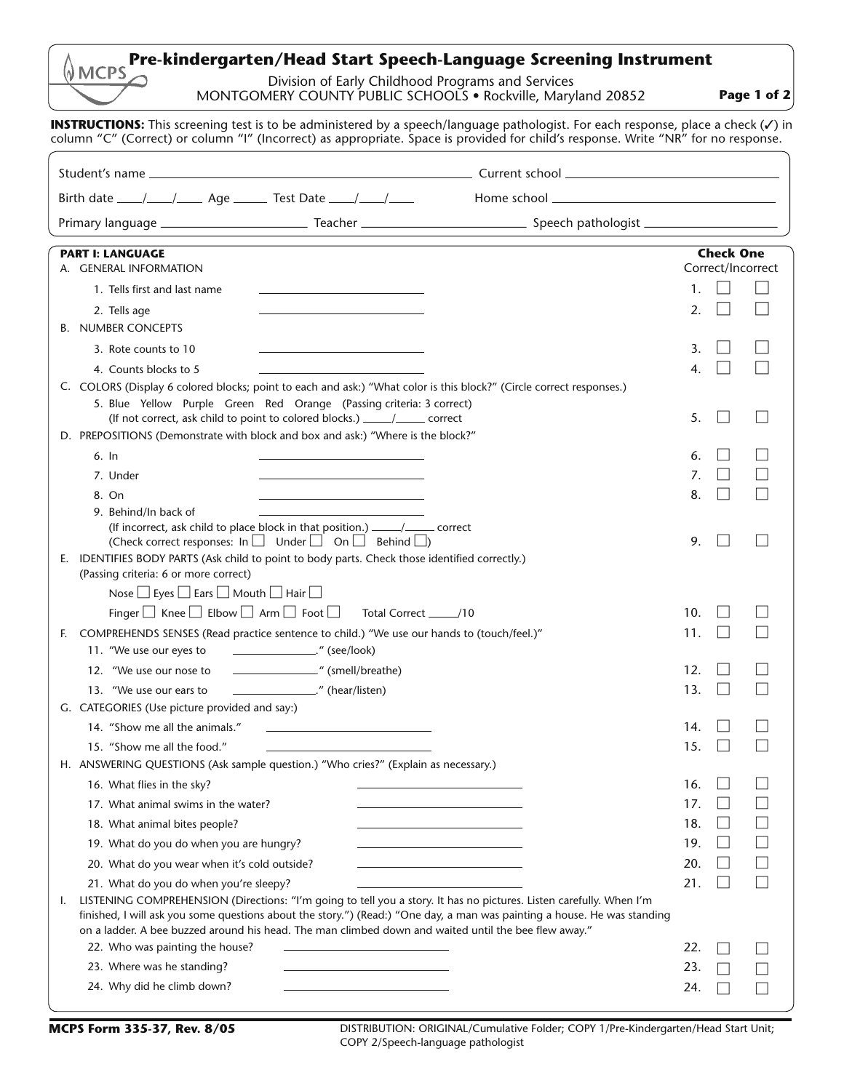## **Pre-kindergarten/Head Start Speech-Language Screening Instrument**

Division of Early Childhood Programs and Services MONTGOMERY COUNTY PUBLIC SCHOOLS • Rockville, Maryland 20852

**Page 1 of 2**

**INSTRUCTIONS:** This screening test is to be administered by a speech/language pathologist. For each response, place a check (**/**) in column "C" (Correct) or column "I" (Incorrect) as appropriate. Space is provided for child's response. Write "NR" for no response.

| Birth date ____/____/______ Age _______ Test Date ____/____/____                                                                                                                                                                 |                       |
|----------------------------------------------------------------------------------------------------------------------------------------------------------------------------------------------------------------------------------|-----------------------|
|                                                                                                                                                                                                                                  |                       |
| <b>PART I: LANGUAGE</b>                                                                                                                                                                                                          | <b>Check One</b>      |
| A. GENERAL INFORMATION                                                                                                                                                                                                           | Correct/Incorrect     |
| 1. Tells first and last name                                                                                                                                                                                                     | 1.                    |
| 2. Tells age                                                                                                                                                                                                                     | 2.                    |
| <b>B. NUMBER CONCEPTS</b>                                                                                                                                                                                                        |                       |
| 3. Rote counts to 10                                                                                                                                                                                                             | 3.                    |
| 4. Counts blocks to 5                                                                                                                                                                                                            | 4.                    |
| C. COLORS (Display 6 colored blocks; point to each and ask:) "What color is this block?" (Circle correct responses.)                                                                                                             |                       |
| 5. Blue Yellow Purple Green Red Orange (Passing criteria: 3 correct)<br>(If not correct, ask child to point to colored blocks.) ______/_______ correct                                                                           | 5.                    |
| D. PREPOSITIONS (Demonstrate with block and box and ask:) "Where is the block?"                                                                                                                                                  |                       |
| $6.$ In                                                                                                                                                                                                                          | 6.                    |
| 7. Under                                                                                                                                                                                                                         | 7.                    |
| 8. On<br>the control of the control of the control of the control of                                                                                                                                                             | 8.                    |
| 9. Behind/In back of                                                                                                                                                                                                             |                       |
| (If incorrect, ask child to place block in that position.) _____/_____ correct<br>(Check correct responses: $\ln \Box$ Under $\Box$ On $\Box$ Behind $\Box$ )                                                                    | 9.<br>$\blacksquare$  |
| E. IDENTIFIES BODY PARTS (Ask child to point to body parts. Check those identified correctly.)                                                                                                                                   |                       |
| (Passing criteria: 6 or more correct)                                                                                                                                                                                            |                       |
| Nose $\Box$ Eyes $\Box$ Ears $\Box$ Mouth $\Box$ Hair $\Box$                                                                                                                                                                     |                       |
| Finger S Knee S Elbow S Arm S Foot S Total Correct 2 /10                                                                                                                                                                         | 10.                   |
| COMPREHENDS SENSES (Read practice sentence to child.) "We use our hands to (touch/feel.)"<br>E.                                                                                                                                  | 11.                   |
| 11. "We use our eyes to _________________." (see/look)                                                                                                                                                                           |                       |
| 12. "We use our nose to _________________." (smell/breathe)                                                                                                                                                                      | 12.                   |
| 13. "We use our ears to _____________________." (hear/listen)<br>G. CATEGORIES (Use picture provided and say:)                                                                                                                   | 13.<br>$\blacksquare$ |
| 14. "Show me all the animals."                                                                                                                                                                                                   | 14.                   |
| 15. "Show me all the food."                                                                                                                                                                                                      | 15.                   |
| H. ANSWERING QUESTIONS (Ask sample question.) "Who cries?" (Explain as necessary.)                                                                                                                                               |                       |
| 16. What flies in the sky?                                                                                                                                                                                                       | 16.                   |
| 17. What animal swims in the water?                                                                                                                                                                                              | 17.                   |
| 18. What animal bites people?                                                                                                                                                                                                    | 18.                   |
| 19. What do you do when you are hungry?                                                                                                                                                                                          | 19.                   |
| 20. What do you wear when it's cold outside?                                                                                                                                                                                     | 20.                   |
| 21. What do you do when you're sleepy?                                                                                                                                                                                           | 21.<br>- 1            |
| LISTENING COMPREHENSION (Directions: "I'm going to tell you a story. It has no pictures. Listen carefully. When I'm<br>L.                                                                                                        |                       |
| finished, I will ask you some questions about the story.") (Read:) "One day, a man was painting a house. He was standing<br>on a ladder. A bee buzzed around his head. The man climbed down and waited until the bee flew away." |                       |
| 22. Who was painting the house?                                                                                                                                                                                                  | 22.                   |
| 23. Where was he standing?                                                                                                                                                                                                       | 23.                   |
| 24. Why did he climb down?<br>the control of the control of the control of the control of the control of the control of                                                                                                          | 24.                   |

**MCPS Form 335-37, Rev. 8/05** DISTRIBUTION: ORIGINAL/Cumulative Folder; COPY 1/Pre-Kindergarten/Head Start Unit; COPY 2/Speech-language pathologist